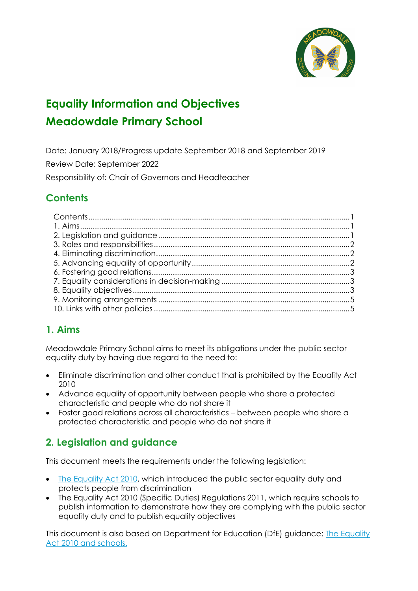# **Equality Information and Objectives Meadowdale Primary School**

Date: January 2018/Progress update September 2018 and September 2019 Review Date: September 2022

Responsibility of: Chair of Governors and Headteacher

# **Contents**

# **1. Aims**

Meadowdale Primary School aims to meet its obligations under the public sector equality duty by having due regard to the need to:

- Eliminate discrimination and other conduct that is prohibited by the Equality Act 2010
- Advance equality of opportunity between people who share a protected characteristic and people who do not share it
- Foster good relations across all characteristics between people who share a protected characteristic and people who do not share it

## **2. Legislation and guidance**

This document meets the requirements under the following legislation:

- [The Equality Act 2010,](http://www.legislation.gov.uk/ukpga/2010/15/contents) which introduced the public sector equality duty and protects people from discrimination
- [The Equality Act 2010 \(Specific Duties\) Regulations 2011,](http://www.legislation.gov.uk/uksi/2011/2260/contents/made) which require schools to publish information to demonstrate how they are complying with the public sector equality duty and to publish equality objectives

This document is also based on Department for Education (DfE) guidance: [The Equality](https://www.gov.uk/government/uploads/system/uploads/attachment_data/file/315587/Equality_Act_Advice_Final.pdf)  [Act 2010 and schools.](https://www.gov.uk/government/uploads/system/uploads/attachment_data/file/315587/Equality_Act_Advice_Final.pdf)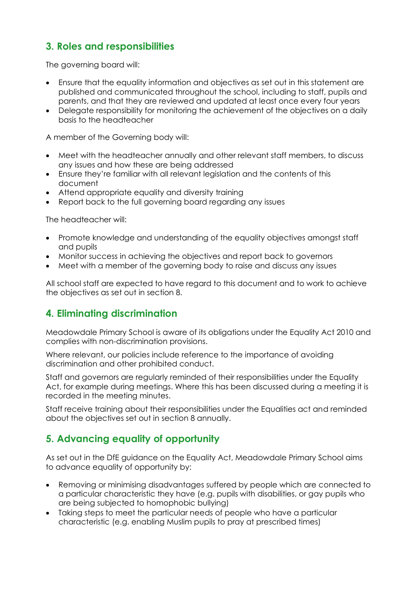# **3. Roles and responsibilities**

The governing board will:

- Finsure that the equality information and objectives as set out in this statement are published and communicated throughout the school, including to staff, pupils and parents, and that they are reviewed and updated at least once every four years
- Delegate responsibility for monitoring the achievement of the objectives on a daily basis to the headteacher

A member of the Governing body will:

- Meet with the headteacher annually and other relevant staff members, to discuss any issues and how these are being addressed
- Ensure they're familiar with all relevant legislation and the contents of this document
- Attend appropriate equality and diversity training
- Report back to the full governing board regarding any issues

The headteacher will:

- Promote knowledge and understanding of the equality objectives amongst staff and pupils
- Monitor success in achieving the objectives and report back to governors
- Meet with a member of the governing body to raise and discuss any issues

All school staff are expected to have regard to this document and to work to achieve the objectives as set out in section 8.

### **4. Eliminating discrimination**

Meadowdale Primary School is aware of its obligations under the Equality Act 2010 and complies with non-discrimination provisions.

Where relevant, our policies include reference to the importance of avoiding discrimination and other prohibited conduct.

Staff and governors are regularly reminded of their responsibilities under the Equality Act, for example during meetings. Where this has been discussed during a meeting it is recorded in the meeting minutes.

Staff receive training about their responsibilities under the Equalities act and reminded about the objectives set out in section 8 annually.

### **5. Advancing equality of opportunity**

As set out in the DfE guidance on the Equality Act, Meadowdale Primary School aims to advance equality of opportunity by:

- Removing or minimising disadvantages suffered by people which are connected to a particular characteristic they have (e.g. pupils with disabilities, or gay pupils who are being subjected to homophobic bullying)
- Taking steps to meet the particular needs of people who have a particular characteristic (e.g. enabling Muslim pupils to pray at prescribed times)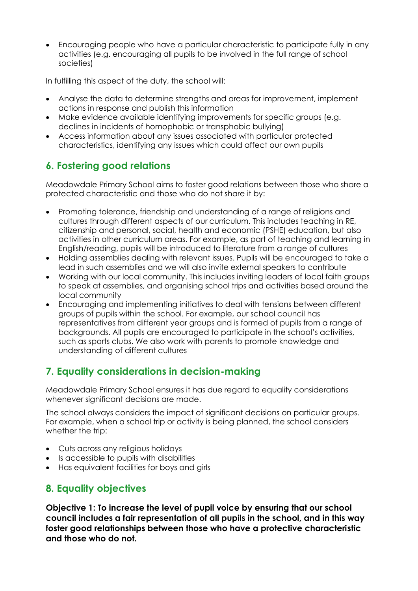• Encouraging people who have a particular characteristic to participate fully in any activities (e.g. encouraging all pupils to be involved in the full range of school societies)

In fulfilling this aspect of the duty, the school will:

- Analyse the data to determine strengths and areas for improvement, implement actions in response and publish this information
- Make evidence available identifying improvements for specific groups (e.g. declines in incidents of homophobic or transphobic bullying)
- Access information about any issues associated with particular protected characteristics, identifying any issues which could affect our own pupils

# **6. Fostering good relations**

Meadowdale Primary School aims to foster good relations between those who share a protected characteristic and those who do not share it by:

- Promoting tolerance, friendship and understanding of a range of religions and cultures through different aspects of our curriculum. This includes teaching in RE, citizenship and personal, social, health and economic (PSHE) education, but also activities in other curriculum areas. For example, as part of teaching and learning in English/reading, pupils will be introduced to literature from a range of cultures
- Holding assemblies dealing with relevant issues. Pupils will be encouraged to take a lead in such assemblies and we will also invite external speakers to contribute
- Working with our local community. This includes inviting leaders of local faith groups to speak at assemblies, and organising school trips and activities based around the local community
- Encouraging and implementing initiatives to deal with tensions between different groups of pupils within the school. For example, our school council has representatives from different year groups and is formed of pupils from a range of backgrounds. All pupils are encouraged to participate in the school's activities, such as sports clubs. We also work with parents to promote knowledge and understanding of different cultures

# **7. Equality considerations in decision-making**

Meadowdale Primary School ensures it has due regard to equality considerations whenever significant decisions are made.

The school always considers the impact of significant decisions on particular groups. For example, when a school trip or activity is being planned, the school considers whether the trip:

- Cuts across any religious holidays
- Is accessible to pupils with disabilities
- Has equivalent facilities for boys and girls

## **8. Equality objectives**

**Objective 1: To increase the level of pupil voice by ensuring that our school council includes a fair representation of all pupils in the school, and in this way foster good relationships between those who have a protective characteristic and those who do not.**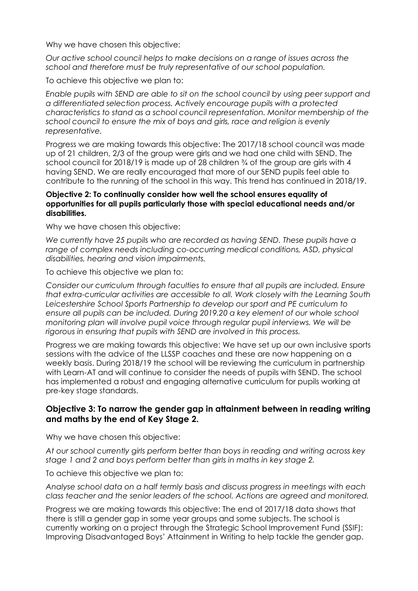Why we have chosen this objective:

*Our active school council helps to make decisions on a range of issues across the school and therefore must be truly representative of our school population.*

To achieve this objective we plan to:

*Enable pupils with SEND are able to sit on the school council by using peer support and a differentiated selection process. Actively encourage pupils with a protected characteristics to stand as a school council representation. Monitor membership of the school council to ensure the mix of boys and girls, race and religion is evenly representative.*

Progress we are making towards this objective: The 2017/18 school council was made up of 21 children, 2/3 of the group were girls and we had one child with SEND. The school council for 2018/19 is made up of 28 children ¾ of the group are girls with 4 having SEND. We are really encouraged that more of our SEND pupils feel able to contribute to the running of the school in this way. This trend has continued in 2018/19.

#### **Objective 2: To continually consider how well the school ensures equality of opportunities for all pupils particularly those with special educational needs and/or disabilities.**

Why we have chosen this objective:

We currently have 25 pupils who are recorded as having SEND. These pupils have a range of complex needs including co-occurring medical conditions, ASD, physical *disabilities, hearing and vision impairments.* 

To achieve this objective we plan to:

*Consider our curriculum through faculties to ensure that all pupils are included. Ensure that extra-curricular activities are accessible to all. Work closely with the Learning South Leicestershire School Sports Partnership to develop our sport and PE curriculum to ensure all pupils can be included. During 2019.20 a key element of our whole school monitoring plan will involve pupil voice through regular pupil interviews. We will be rigorous in ensuring that pupils with SEND are involved in this process.*

Progress we are making towards this objective: We have set up our own inclusive sports sessions with the advice of the LLSSP coaches and these are now happening on a weekly basis. During 2018/19 the school will be reviewing the curriculum in partnership with Learn-AT and will continue to consider the needs of pupils with SEND. The school has implemented a robust and engaging alternative curriculum for pupils working at pre-key stage standards.

#### **Objective 3: To narrow the gender gap in attainment between in reading writing and maths by the end of Key Stage 2.**

Why we have chosen this objective:

*At our school currently girls perform better than boys in reading and writing across key stage 1 and 2 and boys perform better than girls in maths in key stage 2.*

To achieve this objective we plan to:

*Analyse school data on a half termly basis and discuss progress in meetings with each class teacher and the senior leaders of the school. Actions are agreed and monitored.*

Progress we are making towards this objective: The end of 2017/18 data shows that there is still a gender gap in some year groups and some subjects. The school is currently working on a project through the Strategic School Improvement Fund (SSIF): Improving Disadvantaged Boys' Attainment in Writing to help tackle the gender gap.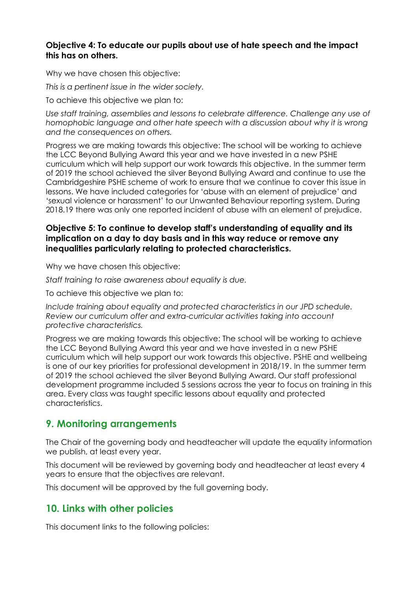#### **Objective 4: To educate our pupils about use of hate speech and the impact this has on others.**

Why we have chosen this objective:

*This is a pertinent issue in the wider society.*

To achieve this objective we plan to:

*Use staff training, assemblies and lessons to celebrate difference. Challenge any use of homophobic language and other hate speech with a discussion about why it is wrong and the consequences on others.*

Progress we are making towards this objective: The school will be working to achieve the LCC Beyond Bullying Award this year and we have invested in a new PSHE curriculum which will help support our work towards this objective. In the summer term of 2019 the school achieved the silver Beyond Bullying Award and continue to use the Cambridgeshire PSHE scheme of work to ensure that we continue to cover this issue in lessons. We have included categories for 'abuse with an element of prejudice' and 'sexual violence or harassment' to our Unwanted Behaviour reporting system. During 2018.19 there was only one reported incident of abuse with an element of prejudice.

#### **Objective 5: To continue to develop staff's understanding of equality and its implication on a day to day basis and in this way reduce or remove any inequalities particularly relating to protected characteristics.**

Why we have chosen this objective:

*Staff training to raise awareness about equality is due.*

To achieve this objective we plan to:

*Include training about equality and protected characteristics in our JPD schedule. Review our curriculum offer and extra-curricular activities taking into account protective characteristics.*

Progress we are making towards this objective: The school will be working to achieve the LCC Beyond Bullying Award this year and we have invested in a new PSHE curriculum which will help support our work towards this objective. PSHE and wellbeing is one of our key priorities for professional development in 2018/19. In the summer term of 2019 the school achieved the silver Beyond Bullying Award. Our staff professional development programme included 5 sessions across the year to focus on training in this area. Every class was taught specific lessons about equality and protected characteristics.

### **9. Monitoring arrangements**

The Chair of the governing body and headteacher will update the equality information we publish, at least every year.

This document will be reviewed by governing body and headteacher at least every 4 years to ensure that the objectives are relevant.

This document will be approved by the full governing body.

## **10. Links with other policies**

This document links to the following policies: